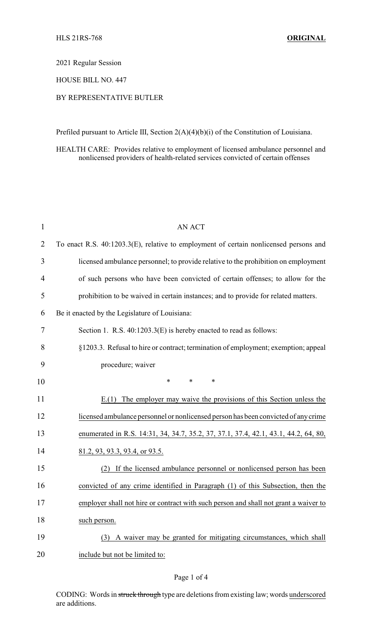2021 Regular Session

HOUSE BILL NO. 447

## BY REPRESENTATIVE BUTLER

Prefiled pursuant to Article III, Section 2(A)(4)(b)(i) of the Constitution of Louisiana.

HEALTH CARE: Provides relative to employment of licensed ambulance personnel and nonlicensed providers of health-related services convicted of certain offenses

| $\mathbf{1}$ | <b>AN ACT</b>                                                                         |
|--------------|---------------------------------------------------------------------------------------|
| 2            | To enact R.S. 40:1203.3(E), relative to employment of certain nonlicensed persons and |
| 3            | licensed ambulance personnel; to provide relative to the prohibition on employment    |
| 4            | of such persons who have been convicted of certain offenses; to allow for the         |
| 5            | prohibition to be waived in certain instances; and to provide for related matters.    |
| 6            | Be it enacted by the Legislature of Louisiana:                                        |
| 7            | Section 1. R.S. 40:1203.3(E) is hereby enacted to read as follows:                    |
| 8            | §1203.3. Refusal to hire or contract; termination of employment; exemption; appeal    |
| 9            | procedure; waiver                                                                     |
| 10           | $\ast$<br>$\ast$<br>$\ast$                                                            |
| 11           | The employer may waive the provisions of this Section unless the<br>E(1)              |
| 12           | licensed ambulance personnel or nonlicensed person has been convicted of any crime    |
| 13           | enumerated in R.S. 14:31, 34, 34.7, 35.2, 37, 37.1, 37.4, 42.1, 43.1, 44.2, 64, 80,   |
| 14           | 81.2, 93, 93.3, 93.4, or 93.5.                                                        |
| 15           | If the licensed ambulance personnel or nonlicensed person has been<br>(2)             |
| 16           | convicted of any crime identified in Paragraph (1) of this Subsection, then the       |
| 17           | employer shall not hire or contract with such person and shall not grant a waiver to  |
| 18           | such person.                                                                          |
| 19           | A waiver may be granted for mitigating circumstances, which shall<br>(3)              |
| 20           | include but not be limited to:                                                        |

CODING: Words in struck through type are deletions from existing law; words underscored are additions.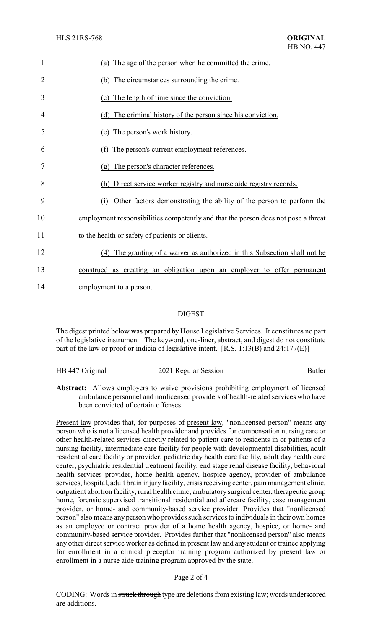| 1              | (a) The age of the person when he committed the crime.                             |
|----------------|------------------------------------------------------------------------------------|
| $\overline{2}$ | (b) The circumstances surrounding the crime.                                       |
| 3              | (c) The length of time since the conviction.                                       |
| 4              | The criminal history of the person since his conviction.<br>(d)                    |
| 5              | The person's work history.<br>(e)                                                  |
| 6              | The person's current employment references.                                        |
| 7              | (g) The person's character references.                                             |
| 8              | Direct service worker registry and nurse aide registry records.<br>(h)             |
| 9              | Other factors demonstrating the ability of the person to perform the<br>(i)        |
| 10             | employment responsibilities competently and that the person does not pose a threat |
| 11             | to the health or safety of patients or clients.                                    |
| 12             | The granting of a waiver as authorized in this Subsection shall not be<br>(4)      |
| 13             | construed as creating an obligation upon an employer to offer permanent            |
| 14             | employment to a person.                                                            |

## DIGEST

The digest printed below was prepared by House Legislative Services. It constitutes no part of the legislative instrument. The keyword, one-liner, abstract, and digest do not constitute part of the law or proof or indicia of legislative intent. [R.S. 1:13(B) and 24:177(E)]

| HB 447 Original | 2021 Regular Session | <b>Butler</b> |
|-----------------|----------------------|---------------|
|                 |                      |               |
|                 |                      |               |

**Abstract:** Allows employers to waive provisions prohibiting employment of licensed ambulance personnel and nonlicensed providers of health-related services who have been convicted of certain offenses.

Present law provides that, for purposes of present law, "nonlicensed person" means any person who is not a licensed health provider and provides for compensation nursing care or other health-related services directly related to patient care to residents in or patients of a nursing facility, intermediate care facility for people with developmental disabilities, adult residential care facility or provider, pediatric day health care facility, adult day health care center, psychiatric residential treatment facility, end stage renal disease facility, behavioral health services provider, home health agency, hospice agency, provider of ambulance services, hospital, adult brain injury facility, crisis receiving center, pain management clinic, outpatient abortion facility, rural health clinic, ambulatory surgical center, therapeutic group home, forensic supervised transitional residential and aftercare facility, case management provider, or home- and community-based service provider. Provides that "nonlicensed person" also means any person who provides such services to individuals in their own homes as an employee or contract provider of a home health agency, hospice, or home- and community-based service provider. Provides further that "nonlicensed person" also means any other direct service worker as defined in present law and any student or trainee applying for enrollment in a clinical preceptor training program authorized by present law or enrollment in a nurse aide training program approved by the state.

Page 2 of 4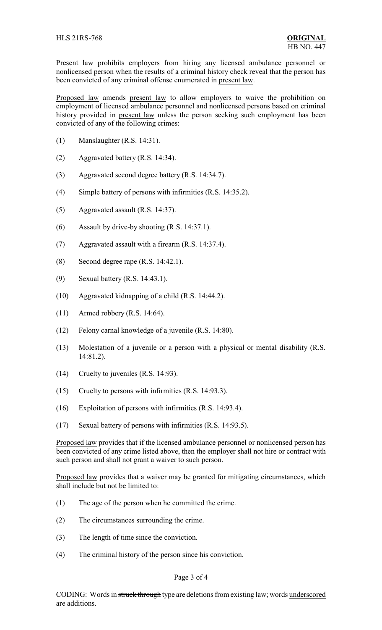Present law prohibits employers from hiring any licensed ambulance personnel or nonlicensed person when the results of a criminal history check reveal that the person has been convicted of any criminal offense enumerated in present law.

Proposed law amends present law to allow employers to waive the prohibition on employment of licensed ambulance personnel and nonlicensed persons based on criminal history provided in present law unless the person seeking such employment has been convicted of any of the following crimes:

- (1) Manslaughter (R.S. 14:31).
- (2) Aggravated battery (R.S. 14:34).
- (3) Aggravated second degree battery (R.S. 14:34.7).
- (4) Simple battery of persons with infirmities (R.S. 14:35.2).
- (5) Aggravated assault (R.S. 14:37).
- (6) Assault by drive-by shooting (R.S. 14:37.1).
- (7) Aggravated assault with a firearm (R.S. 14:37.4).
- (8) Second degree rape (R.S. 14:42.1).
- (9) Sexual battery (R.S. 14:43.1).
- (10) Aggravated kidnapping of a child (R.S. 14:44.2).
- (11) Armed robbery (R.S. 14:64).
- (12) Felony carnal knowledge of a juvenile (R.S. 14:80).
- (13) Molestation of a juvenile or a person with a physical or mental disability (R.S. 14:81.2).
- (14) Cruelty to juveniles (R.S. 14:93).
- (15) Cruelty to persons with infirmities (R.S. 14:93.3).
- (16) Exploitation of persons with infirmities (R.S. 14:93.4).
- (17) Sexual battery of persons with infirmities (R.S. 14:93.5).

Proposed law provides that if the licensed ambulance personnel or nonlicensed person has been convicted of any crime listed above, then the employer shall not hire or contract with such person and shall not grant a waiver to such person.

Proposed law provides that a waiver may be granted for mitigating circumstances, which shall include but not be limited to:

- (1) The age of the person when he committed the crime.
- (2) The circumstances surrounding the crime.
- (3) The length of time since the conviction.
- (4) The criminal history of the person since his conviction.

## Page 3 of 4

CODING: Words in struck through type are deletions from existing law; words underscored are additions.